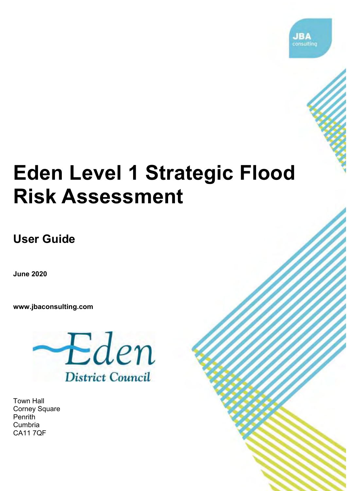

# **Eden Level 1 Strategic Flood Risk Assessment**

2018s0424 Eden SFRA User Guide v1.0 i

**User Guide** 

**June 2020**

**[www.jbaconsulting.com](http://www.jbaconsulting.com/)**



Town Hall Corney Square **Penrith** Cumbria CA11 7QF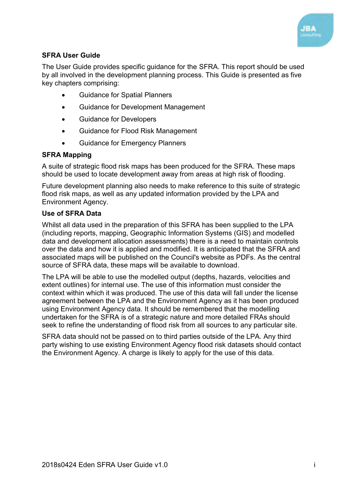

#### **SFRA User Guide**

The User Guide provides specific guidance for the SFRA. This report should be used by all involved in the development planning process. This Guide is presented as five key chapters comprising:

- Guidance for Spatial Planners
- Guidance for Development Management
- **•** Guidance for Developers
- Guidance for Flood Risk Management
- **•** Guidance for Emergency Planners

#### **SFRA Mapping**

A suite of strategic flood risk maps has been produced for the SFRA. These maps should be used to locate development away from areas at high risk of flooding.

Future development planning also needs to make reference to this suite of strategic flood risk maps, as well as any updated information provided by the LPA and Environment Agency.

#### **Use of SFRA Data**

Whilst all data used in the preparation of this SFRA has been supplied to the LPA (including reports, mapping, Geographic Information Systems (GIS) and modelled data and development allocation assessments) there is a need to maintain controls over the data and how it is applied and modified. It is anticipated that the SFRA and associated maps will be published on the Council's website as PDFs. As the central source of SFRA data, these maps will be available to download.

The LPA will be able to use the modelled output (depths, hazards, velocities and extent outlines) for internal use. The use of this information must consider the context within which it was produced. The use of this data will fall under the license agreement between the LPA and the Environment Agency as it has been produced using Environment Agency data. It should be remembered that the modelling undertaken for the SFRA is of a strategic nature and more detailed FRAs should seek to refine the understanding of flood risk from all sources to any particular site.

SFRA data should not be passed on to third parties outside of the LPA. Any third party wishing to use existing Environment Agency flood risk datasets should contact the Environment Agency. A charge is likely to apply for the use of this data.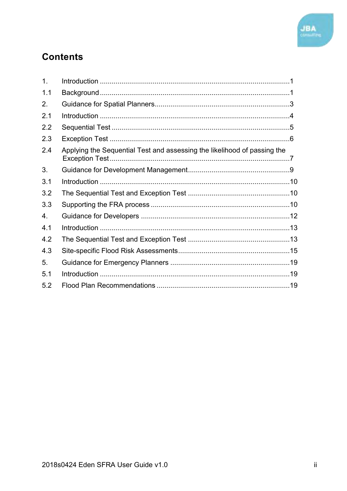

## **Contents**

| 1 <sub>1</sub>   |                                                                          |  |
|------------------|--------------------------------------------------------------------------|--|
| 1.1              |                                                                          |  |
| 2.               |                                                                          |  |
| 2.1              |                                                                          |  |
| 2.2              |                                                                          |  |
| 2.3              |                                                                          |  |
| 2.4              | Applying the Sequential Test and assessing the likelihood of passing the |  |
| 3.               |                                                                          |  |
| 3.1              |                                                                          |  |
| 3.2              |                                                                          |  |
| 3.3              |                                                                          |  |
| $\overline{4}$ . |                                                                          |  |
| 4.1              |                                                                          |  |
| 4.2              |                                                                          |  |
| 4.3              |                                                                          |  |
| 5.               |                                                                          |  |
| 5.1              |                                                                          |  |
| 5.2              |                                                                          |  |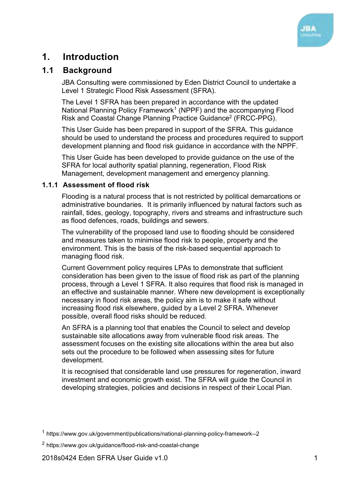

## <span id="page-3-0"></span>**1. Introduction**

#### <span id="page-3-1"></span>**1.1 Background**

JBA Consulting were commissioned by Eden District Council to undertake a Level 1 Strategic Flood Risk Assessment (SFRA).

The Level 1 SFRA has been prepared in accordance with the updated National Planning Policy Framework<sup>1</sup> (NPPF) and the accompanying Flood Risk and Coastal Change Planning Practice Guidance<sup>2</sup> (FRCC-PPG).

This User Guide has been prepared in support of the SFRA. This guidance should be used to understand the process and procedures required to support development planning and flood risk guidance in accordance with the NPPF.

This User Guide has been developed to provide guidance on the use of the SFRA for local authority spatial planning, regeneration, Flood Risk Management, development management and emergency planning.

#### **1.1.1 Assessment of flood risk**

Flooding is a natural process that is not restricted by political demarcations or administrative boundaries. It is primarily influenced by natural factors such as rainfall, tides, geology, topography, rivers and streams and infrastructure such as flood defences, roads, buildings and sewers.

The vulnerability of the proposed land use to flooding should be considered and measures taken to minimise flood risk to people, property and the environment. This is the basis of the risk-based sequential approach to managing flood risk.

Current Government policy requires LPAs to demonstrate that sufficient consideration has been given to the issue of flood risk as part of the planning process, through a Level 1 SFRA. It also requires that flood risk is managed in an effective and sustainable manner. Where new development is exceptionally necessary in flood risk areas, the policy aim is to make it safe without increasing flood risk elsewhere, guided by a Level 2 SFRA. Whenever possible, overall flood risks should be reduced.

An SFRA is a planning tool that enables the Council to select and develop sustainable site allocations away from vulnerable flood risk areas. The assessment focuses on the existing site allocations within the area but also sets out the procedure to be followed when assessing sites for future development.

It is recognised that considerable land use pressures for regeneration, inward investment and economic growth exist. The SFRA will guide the Council in developing strategies, policies and decisions in respect of their Local Plan.

<sup>1</sup> <https://www.gov.uk/government/publications/national-planning-policy-framework--2>

<sup>2</sup> <https://www.gov.uk/guidance/flood-risk-and-coastal-change>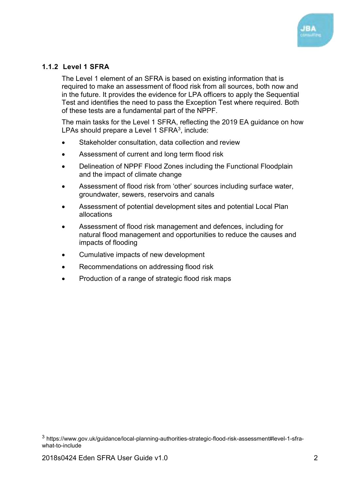

#### **1.1.2 Level 1 SFRA**

The Level 1 element of an SFRA is based on existing information that is required to make an assessment of flood risk from all sources, both now and in the future. It provides the evidence for LPA officers to apply the Sequential Test and identifies the need to pass the Exception Test where required. Both of these tests are a fundamental part of the NPPF.

The main tasks for the Level 1 SFRA, reflecting the 2019 EA guidance on how LPAs should prepare a Level 1 SFRA $^3$ , include:

- Stakeholder consultation, data collection and review
- Assessment of current and long term flood risk
- Delineation of NPPF Flood Zones including the Functional Floodplain and the impact of climate change
- Assessment of flood risk from 'other' sources including surface water, groundwater, sewers, reservoirs and canals
- Assessment of potential development sites and potential Local Plan allocations
- Assessment of flood risk management and defences, including for natural flood management and opportunities to reduce the causes and impacts of flooding
- Cumulative impacts of new development
- Recommendations on addressing flood risk
- Production of a range of strategic flood risk maps

<sup>3</sup> [https://www.gov.uk/guidance/local-planning-authorities-strategic-flood-risk-assessment#level-1-sfra](https://www.gov.uk/guidance/local-planning-authorities-strategic-flood-risk-assessment#level-1-sfra-what-to-include)[what-to-include](https://www.gov.uk/guidance/local-planning-authorities-strategic-flood-risk-assessment#level-1-sfra-what-to-include)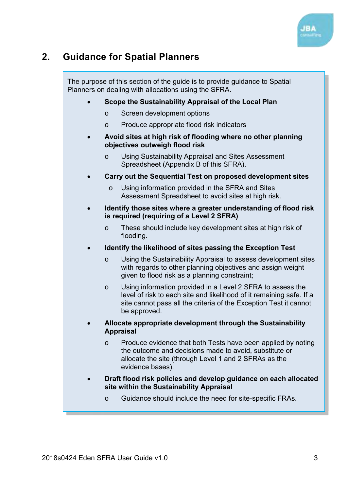

## <span id="page-5-0"></span>**2. Guidance for Spatial Planners**

The purpose of this section of the guide is to provide guidance to Spatial Planners on dealing with allocations using the SFRA.

#### **Scope the Sustainability Appraisal of the Local Plan**

- o Screen development options
- o Produce appropriate flood risk indicators
- **Avoid sites at high risk of flooding where no other planning objectives outweigh flood risk** 
	- o Using Sustainability Appraisal and Sites Assessment Spreadsheet (Appendix B of this SFRA).
- **Carry out the Sequential Test on proposed development sites** 
	- o Using information provided in the SFRA and Sites Assessment Spreadsheet to avoid sites at high risk.
- **Identify those sites where a greater understanding of flood risk is required (requiring of a Level 2 SFRA)** 
	- o These should include key development sites at high risk of flooding.
- **Identify the likelihood of sites passing the Exception Test** 
	- o Using the Sustainability Appraisal to assess development sites with regards to other planning objectives and assign weight given to flood risk as a planning constraint;
	- o Using information provided in a Level 2 SFRA to assess the level of risk to each site and likelihood of it remaining safe. If a site cannot pass all the criteria of the Exception Test it cannot be approved.
- **Allocate appropriate development through the Sustainability Appraisal** 
	- o Produce evidence that both Tests have been applied by noting the outcome and decisions made to avoid, substitute or allocate the site (through Level 1 and 2 SFRAs as the evidence bases).
- **Draft flood risk policies and develop guidance on each allocated site within the Sustainability Appraisal** 
	- o Guidance should include the need for site-specific FRAs.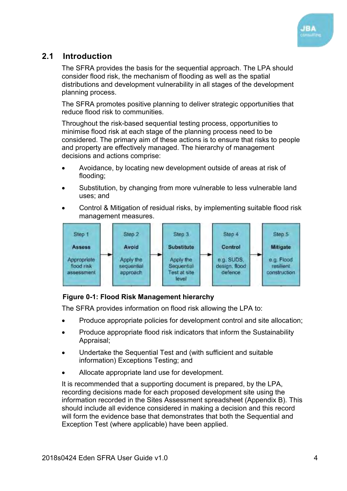

### <span id="page-6-0"></span>**2.1 Introduction**

The SFRA provides the basis for the sequential approach. The LPA should consider flood risk, the mechanism of flooding as well as the spatial distributions and development vulnerability in all stages of the development planning process.

The SFRA promotes positive planning to deliver strategic opportunities that reduce flood risk to communities.

Throughout the risk-based sequential testing process, opportunities to minimise flood risk at each stage of the planning process need to be considered. The primary aim of these actions is to ensure that risks to people and property are effectively managed. The hierarchy of management decisions and actions comprise:

- Avoidance, by locating new development outside of areas at risk of flooding;
- Substitution, by changing from more vulnerable to less vulnerable land uses; and
- Control & Mitigation of residual risks, by implementing suitable flood risk management measures.



#### <span id="page-6-1"></span>**Figure 0-1: Flood Risk Management hierarchy**

The SFRA provides information on flood risk allowing the LPA to:

- Produce appropriate policies for development control and site allocation;
- Produce appropriate flood risk indicators that inform the Sustainability Appraisal;
- Undertake the Sequential Test and (with sufficient and suitable information) Exceptions Testing; and
- Allocate appropriate land use for development.

It is recommended that a supporting document is prepared, by the LPA, recording decisions made for each proposed development site using the information recorded in the Sites Assessment spreadsheet (Appendix B). This should include all evidence considered in making a decision and this record will form the evidence base that demonstrates that both the Sequential and Exception Test (where applicable) have been applied.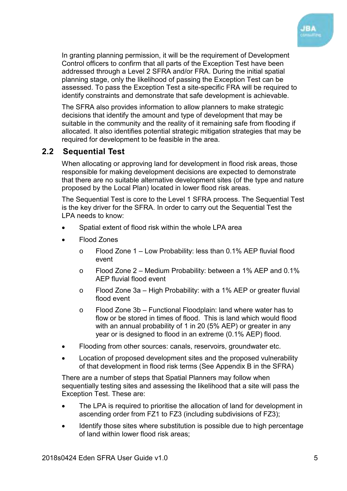

In granting planning permission, it will be the requirement of Development Control officers to confirm that all parts of the Exception Test have been addressed through a Level 2 SFRA and/or FRA. During the initial spatial planning stage, only the likelihood of passing the Exception Test can be assessed. To pass the Exception Test a site-specific FRA will be required to identify constraints and demonstrate that safe development is achievable.

The SFRA also provides information to allow planners to make strategic decisions that identify the amount and type of development that may be suitable in the community and the reality of it remaining safe from flooding if allocated. It also identifies potential strategic mitigation strategies that may be required for development to be feasible in the area.

#### <span id="page-7-0"></span>**2.2 Sequential Test**

When allocating or approving land for development in flood risk areas, those responsible for making development decisions are expected to demonstrate that there are no suitable alternative development sites (of the type and nature proposed by the Local Plan) located in lower flood risk areas.

The Sequential Test is core to the Level 1 SFRA process. The Sequential Test is the key driver for the SFRA. In order to carry out the Sequential Test the LPA needs to know:

- Spatial extent of flood risk within the whole LPA area
- Flood Zones
	- o Flood Zone 1 Low Probability: less than 0.1% AEP fluvial flood event
	- o Flood Zone 2 Medium Probability: between a 1% AEP and 0.1% AEP fluvial flood event
	- o Flood Zone 3a High Probability: with a 1% AEP or greater fluvial flood event
	- o Flood Zone 3b Functional Floodplain: land where water has to flow or be stored in times of flood. This is land which would flood with an annual probability of 1 in 20 (5% AEP) or greater in any year or is designed to flood in an extreme (0.1% AEP) flood.
- Flooding from other sources: canals, reservoirs, groundwater etc.
- Location of proposed development sites and the proposed vulnerability of that development in flood risk terms (See Appendix B in the SFRA)

There are a number of steps that Spatial Planners may follow when sequentially testing sites and assessing the likelihood that a site will pass the Exception Test. These are:

- The LPA is required to prioritise the allocation of land for development in ascending order from FZ1 to FZ3 (including subdivisions of FZ3);
- Identify those sites where substitution is possible due to high percentage of land within lower flood risk areas;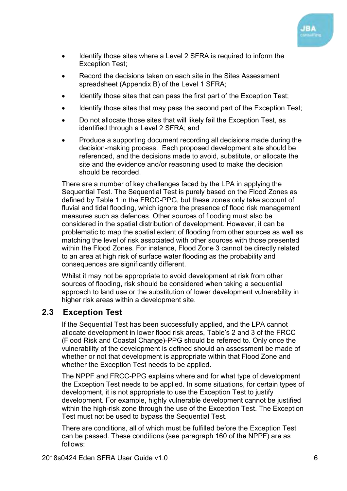

- Identify those sites where a Level 2 SFRA is required to inform the Exception Test;
- Record the decisions taken on each site in the Sites Assessment spreadsheet (Appendix B) of the Level 1 SFRA;
- Identify those sites that can pass the first part of the Exception Test;
- Identify those sites that may pass the second part of the Exception Test;
- Do not allocate those sites that will likely fail the Exception Test, as identified through a Level 2 SFRA; and
- Produce a supporting document recording all decisions made during the decision-making process. Each proposed development site should be referenced, and the decisions made to avoid, substitute, or allocate the site and the evidence and/or reasoning used to make the decision should be recorded.

There are a number of key challenges faced by the LPA in applying the Sequential Test. The Sequential Test is purely based on the Flood Zones as defined by Table 1 in the FRCC-PPG, but these zones only take account of fluvial and tidal flooding, which ignore the presence of flood risk management measures such as defences. Other sources of flooding must also be considered in the spatial distribution of development. However, it can be problematic to map the spatial extent of flooding from other sources as well as matching the level of risk associated with other sources with those presented within the Flood Zones. For instance, Flood Zone 3 cannot be directly related to an area at high risk of surface water flooding as the probability and consequences are significantly different.

Whilst it may not be appropriate to avoid development at risk from other sources of flooding, risk should be considered when taking a sequential approach to land use or the substitution of lower development vulnerability in higher risk areas within a development site.

#### <span id="page-8-0"></span>**2.3 Exception Test**

If the Sequential Test has been successfully applied, and the LPA cannot allocate development in lower flood risk areas, Table's 2 and 3 of the FRCC (Flood Risk and Coastal Change)-PPG should be referred to. Only once the vulnerability of the development is defined should an assessment be made of whether or not that development is appropriate within that Flood Zone and whether the Exception Test needs to be applied.

The NPPF and FRCC-PPG explains where and for what type of development the Exception Test needs to be applied. In some situations, for certain types of development, it is not appropriate to use the Exception Test to justify development. For example, highly vulnerable development cannot be justified within the high-risk zone through the use of the Exception Test. The Exception Test must not be used to bypass the Sequential Test.

There are conditions, all of which must be fulfilled before the Exception Test can be passed. These conditions (see paragraph 160 of the NPPF) are as follows: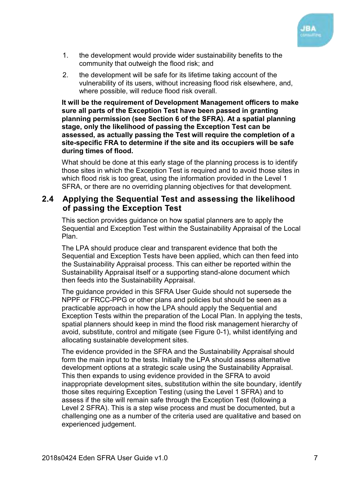

- 1. the development would provide wider sustainability benefits to the community that outweigh the flood risk; and
- 2. the development will be safe for its lifetime taking account of the vulnerability of its users, without increasing flood risk elsewhere, and, where possible, will reduce flood risk overall.

**It will be the requirement of Development Management officers to make sure all parts of the Exception Test have been passed in granting planning permission (see Section 6 of the SFRA). At a spatial planning stage, only the likelihood of passing the Exception Test can be assessed, as actually passing the Test will require the completion of a site-specific FRA to determine if the site and its occupiers will be safe during times of flood.** 

What should be done at this early stage of the planning process is to identify those sites in which the Exception Test is required and to avoid those sites in which flood risk is too great, using the information provided in the Level 1 SFRA, or there are no overriding planning objectives for that development.

#### <span id="page-9-0"></span>**2.4 Applying the Sequential Test and assessing the likelihood of passing the Exception Test**

This section provides guidance on how spatial planners are to apply the Sequential and Exception Test within the Sustainability Appraisal of the Local Plan.

The LPA should produce clear and transparent evidence that both the Sequential and Exception Tests have been applied, which can then feed into the Sustainability Appraisal process. This can either be reported within the Sustainability Appraisal itself or a supporting stand-alone document which then feeds into the Sustainability Appraisal.

The guidance provided in this SFRA User Guide should not supersede the NPPF or FRCC-PPG or other plans and policies but should be seen as a practicable approach in how the LPA should apply the Sequential and Exception Tests within the preparation of the Local Plan. In applying the tests, spatial planners should keep in mind the flood risk management hierarchy of avoid, substitute, control and mitigate (see [Figure 0-1\)](#page-6-1), whilst identifying and allocating sustainable development sites.

The evidence provided in the SFRA and the Sustainability Appraisal should form the main input to the tests. Initially the LPA should assess alternative development options at a strategic scale using the Sustainability Appraisal. This then expands to using evidence provided in the SFRA to avoid inappropriate development sites, substitution within the site boundary, identify those sites requiring Exception Testing (using the Level 1 SFRA) and to assess if the site will remain safe through the Exception Test (following a Level 2 SFRA). This is a step wise process and must be documented, but a challenging one as a number of the criteria used are qualitative and based on experienced judgement.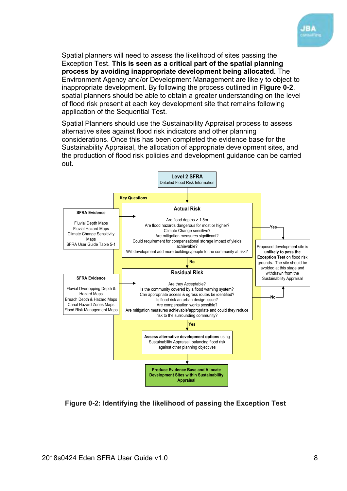

Spatial planners will need to assess the likelihood of sites passing the Exception Test. **This is seen as a critical part of the spatial planning process by avoiding inappropriate development being allocated.** The Environment Agency and/or Development Management are likely to object to inappropriate development. By following the process outlined in **[Figure 0-2](#page-10-0)**, spatial planners should be able to obtain a greater understanding on the level of flood risk present at each key development site that remains following application of the Sequential Test.

Spatial Planners should use the Sustainability Appraisal process to assess alternative sites against flood risk indicators and other planning considerations. Once this has been completed the evidence base for the Sustainability Appraisal, the allocation of appropriate development sites, and the production of flood risk policies and development guidance can be carried out.



<span id="page-10-0"></span>**Figure 0-2: Identifying the likelihood of passing the Exception Test**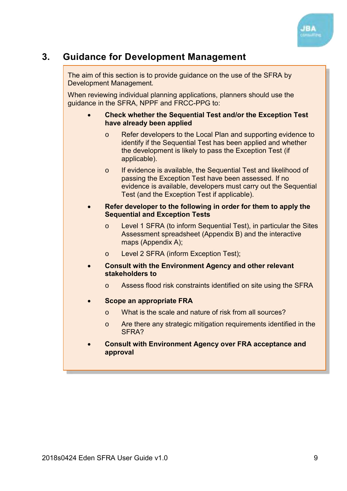

## <span id="page-11-0"></span>**3. Guidance for Development Management**

The aim of this section is to provide guidance on the use of the SFRA by Development Management*.*

When reviewing individual planning applications, planners should use the guidance in the SFRA, NPPF and FRCC-PPG to:

- **Check whether the Sequential Test and/or the Exception Test have already been applied** 
	- o Refer developers to the Local Plan and supporting evidence to identify if the Sequential Test has been applied and whether the development is likely to pass the Exception Test (if applicable).
	- o If evidence is available, the Sequential Test and likelihood of passing the Exception Test have been assessed. If no evidence is available, developers must carry out the Sequential Test (and the Exception Test if applicable).
- **Refer developer to the following in order for them to apply the Sequential and Exception Tests** 
	- o Level 1 SFRA (to inform Sequential Test), in particular the Sites Assessment spreadsheet (Appendix B) and the interactive maps (Appendix A);
	- o Level 2 SFRA (inform Exception Test);
- **Consult with the Environment Agency and other relevant stakeholders to** 
	- o Assess flood risk constraints identified on site using the SFRA
- **Scope an appropriate FRA** 
	- o What is the scale and nature of risk from all sources?
	- o Are there any strategic mitigation requirements identified in the SFRA?
- **Consult with Environment Agency over FRA acceptance and approval**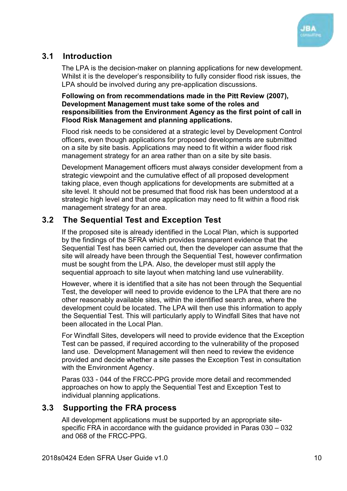

#### <span id="page-12-0"></span>**3.1 Introduction**

The LPA is the decision-maker on planning applications for new development. Whilst it is the developer's responsibility to fully consider flood risk issues, the LPA should be involved during any pre-application discussions.

#### **Following on from recommendations made in the Pitt Review (2007), Development Management must take some of the roles and responsibilities from the Environment Agency as the first point of call in Flood Risk Management and planning applications.**

Flood risk needs to be considered at a strategic level by Development Control officers, even though applications for proposed developments are submitted on a site by site basis. Applications may need to fit within a wider flood risk management strategy for an area rather than on a site by site basis.

Development Management officers must always consider development from a strategic viewpoint and the cumulative effect of all proposed development taking place, even though applications for developments are submitted at a site level. It should not be presumed that flood risk has been understood at a strategic high level and that one application may need to fit within a flood risk management strategy for an area.

#### <span id="page-12-1"></span>**3.2 The Sequential Test and Exception Test**

If the proposed site is already identified in the Local Plan, which is supported by the findings of the SFRA which provides transparent evidence that the Sequential Test has been carried out, then the developer can assume that the site will already have been through the Sequential Test, however confirmation must be sought from the LPA. Also, the developer must still apply the sequential approach to site layout when matching land use vulnerability.

However, where it is identified that a site has not been through the Sequential Test, the developer will need to provide evidence to the LPA that there are no other reasonably available sites, within the identified search area, where the development could be located. The LPA will then use this information to apply the Sequential Test. This will particularly apply to Windfall Sites that have not been allocated in the Local Plan.

For Windfall Sites, developers will need to provide evidence that the Exception Test can be passed, if required according to the vulnerability of the proposed land use. Development Management will then need to review the evidence provided and decide whether a site passes the Exception Test in consultation with the Environment Agency.

Paras 033 - 044 of the FRCC-PPG provide more detail and recommended approaches on how to apply the Sequential Test and Exception Test to individual planning applications.

#### <span id="page-12-2"></span>**3.3 Supporting the FRA process**

All development applications must be supported by an appropriate sitespecific FRA in accordance with the guidance provided in Paras 030 – 032 and 068 of the FRCC-PPG.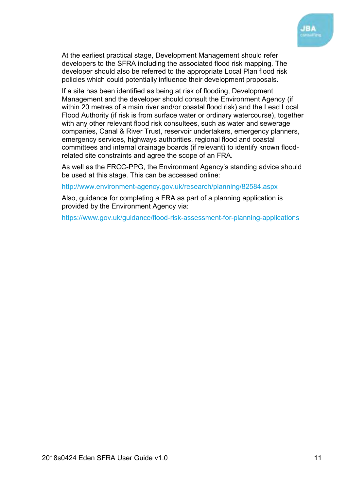

At the earliest practical stage, Development Management should refer developers to the SFRA including the associated flood risk mapping. The developer should also be referred to the appropriate Local Plan flood risk policies which could potentially influence their development proposals.

If a site has been identified as being at risk of flooding, Development Management and the developer should consult the Environment Agency (if within 20 metres of a main river and/or coastal flood risk) and the Lead Local Flood Authority (if risk is from surface water or ordinary watercourse), together with any other relevant flood risk consultees, such as water and sewerage companies, Canal & River Trust, reservoir undertakers, emergency planners, emergency services, highways authorities, regional flood and coastal committees and internal drainage boards (if relevant) to identify known floodrelated site constraints and agree the scope of an FRA.

As well as the FRCC-PPG, the Environment Agency's standing advice should be used at this stage. This can be accessed online:

<http://www.environment-agency.gov.uk/research/planning/82584.aspx>

Also, guidance for completing a FRA as part of a planning application is provided by the Environment Agency via:

<https://www.gov.uk/guidance/flood-risk-assessment-for-planning-applications>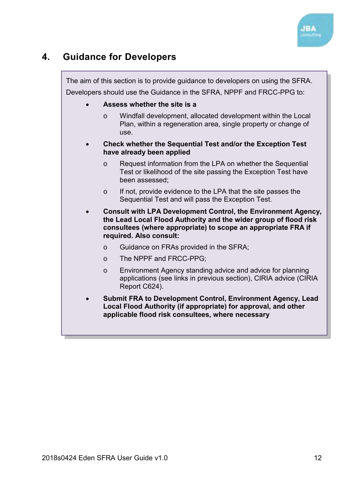

## <span id="page-14-0"></span>**4. Guidance for Developers**

The aim of this section is to provide guidance to developers on using the SFRA. Developers should use the Guidance in the SFRA, NPPF and FRCC-PPG to:

- **Assess whether the site is a** 
	- o Windfall development, allocated development within the Local Plan, within a regeneration area, single property or change of use.
- **Check whether the Sequential Test and/or the Exception Test have already been applied** 
	- o Request information from the LPA on whether the Sequential Test or likelihood of the site passing the Exception Test have been assessed;
	- o If not, provide evidence to the LPA that the site passes the Sequential Test and will pass the Exception Test.
- **Consult with LPA Development Control, the Environment Agency, the Lead Local Flood Authority and the wider group of flood risk consultees (where appropriate) to scope an appropriate FRA if required. Also consult:** 
	- o Guidance on FRAs provided in the SFRA;
	- o The NPPF and FRCC-PPG;
	- o Environment Agency standing advice and advice for planning applications (see links in previous section), CIRIA advice (CIRIA Report C624).
- **Submit FRA to Development Control, Environment Agency, Lead Local Flood Authority (if appropriate) for approval, and other applicable flood risk consultees, where necessary**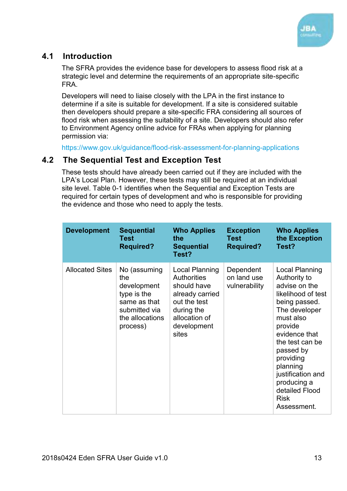

#### <span id="page-15-0"></span>**4.1 Introduction**

The SFRA provides the evidence base for developers to assess flood risk at a strategic level and determine the requirements of an appropriate site-specific FRA.

Developers will need to liaise closely with the LPA in the first instance to determine if a site is suitable for development. If a site is considered suitable then developers should prepare a site-specific FRA considering all sources of flood risk when assessing the suitability of a site. Developers should also refer to Environment Agency online advice for FRAs when applying for planning permission via:

<https://www.gov.uk/guidance/flood-risk-assessment-for-planning-applications>

#### <span id="page-15-1"></span>**4.2 The Sequential Test and Exception Test**

These tests should have already been carried out if they are included with the LPA's Local Plan. However, these tests may still be required at an individual site level. [Table 0-1](#page-17-1) identifies when the Sequential and Exception Tests are required for certain types of development and who is responsible for providing the evidence and those who need to apply the tests.

| <b>Development</b>     | <b>Sequential</b><br>Test<br><b>Required?</b>                                                                     | <b>Who Applies</b><br>the<br><b>Sequential</b><br>Test?                                                                                       | <b>Exception</b><br>Test<br><b>Required?</b> | <b>Who Applies</b><br>the Exception<br>Test?                                                                                                                                                                                                                                                  |
|------------------------|-------------------------------------------------------------------------------------------------------------------|-----------------------------------------------------------------------------------------------------------------------------------------------|----------------------------------------------|-----------------------------------------------------------------------------------------------------------------------------------------------------------------------------------------------------------------------------------------------------------------------------------------------|
| <b>Allocated Sites</b> | No (assuming<br>the<br>development<br>type is the<br>same as that<br>submitted via<br>the allocations<br>process) | Local Planning<br><b>Authorities</b><br>should have<br>already carried<br>out the test<br>during the<br>allocation of<br>development<br>sites | Dependent<br>on land use<br>vulnerability    | Local Planning<br>Authority to<br>advise on the<br>likelihood of test<br>being passed.<br>The developer<br>must also<br>provide<br>evidence that<br>the test can be<br>passed by<br>providing<br>planning<br>justification and<br>producing a<br>detailed Flood<br><b>Risk</b><br>Assessment. |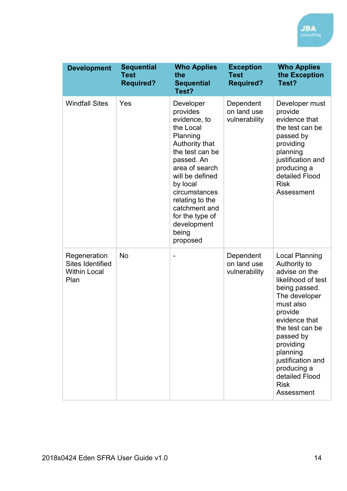| <b>Development</b>                                                     | <b>Sequential</b><br><b>Test</b><br><b>Required?</b> | <b>Who Applies</b><br>the<br><b>Sequential</b><br>Test?                                                                                                                                                                                                                        | <b>Exception</b><br><b>Test</b><br><b>Required?</b> | <b>Who Applies</b><br>the Exception<br>Test?                                                                                                                                                                                                                                                        |
|------------------------------------------------------------------------|------------------------------------------------------|--------------------------------------------------------------------------------------------------------------------------------------------------------------------------------------------------------------------------------------------------------------------------------|-----------------------------------------------------|-----------------------------------------------------------------------------------------------------------------------------------------------------------------------------------------------------------------------------------------------------------------------------------------------------|
| <b>Windfall Sites</b>                                                  | Yes                                                  | Developer<br>provides<br>evidence, to<br>the Local<br>Planning<br>Authority that<br>the test can be<br>passed. An<br>area of search<br>will be defined<br>by local<br>circumstances<br>relating to the<br>catchment and<br>for the type of<br>development<br>being<br>proposed | Dependent<br>on land use<br>vulnerability           | Developer must<br>provide<br>evidence that<br>the test can be<br>passed by<br>providing<br>planning<br>justification and<br>producing a<br>detailed Flood<br><b>Risk</b><br>Assessment                                                                                                              |
| Regeneration<br><b>Sites Identified</b><br><b>Within Local</b><br>Plan | No                                                   |                                                                                                                                                                                                                                                                                | Dependent<br>on land use<br>vulnerability           | <b>Local Planning</b><br>Authority to<br>advise on the<br>likelihood of test<br>being passed.<br>The developer<br>must also<br>provide<br>evidence that<br>the test can be<br>passed by<br>providing<br>planning<br>justification and<br>producing a<br>detailed Flood<br><b>Risk</b><br>Assessment |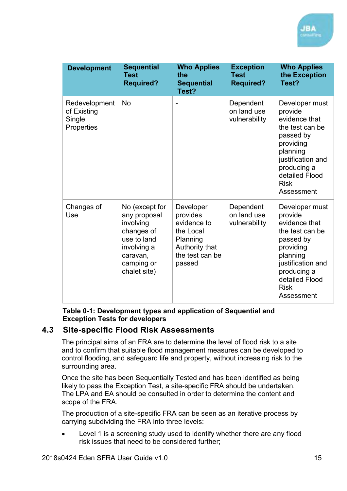| <b>Development</b>                                   | <b>Sequential</b><br><b>Test</b><br><b>Required?</b>                                                                              | <b>Who Applies</b><br>the<br><b>Sequential</b><br>Test?                                                      | <b>Exception</b><br><b>Test</b><br><b>Required?</b> | <b>Who Applies</b><br>the Exception<br>Test?                                                                                                                                           |
|------------------------------------------------------|-----------------------------------------------------------------------------------------------------------------------------------|--------------------------------------------------------------------------------------------------------------|-----------------------------------------------------|----------------------------------------------------------------------------------------------------------------------------------------------------------------------------------------|
| Redevelopment<br>of Existing<br>Single<br>Properties | <b>No</b>                                                                                                                         |                                                                                                              | Dependent<br>on land use<br>vulnerability           | Developer must<br>provide<br>evidence that<br>the test can be<br>passed by<br>providing<br>planning<br>justification and<br>producing a<br>detailed Flood<br><b>Risk</b><br>Assessment |
| Changes of<br>Use                                    | No (except for<br>any proposal<br>involving<br>changes of<br>use to land<br>involving a<br>caravan,<br>camping or<br>chalet site) | Developer<br>provides<br>evidence to<br>the Local<br>Planning<br>Authority that<br>the test can be<br>passed | Dependent<br>on land use<br>vulnerability           | Developer must<br>provide<br>evidence that<br>the test can be<br>passed by<br>providing<br>planning<br>justification and<br>producing a<br>detailed Flood<br><b>Risk</b><br>Assessment |

**Table 0-1: Development types and application of Sequential and Exception Tests for developers** 

#### <span id="page-17-1"></span><span id="page-17-0"></span>**4.3 Site-specific Flood Risk Assessments**

The principal aims of an FRA are to determine the level of flood risk to a site and to confirm that suitable flood management measures can be developed to control flooding, and safeguard life and property, without increasing risk to the surrounding area.

Once the site has been Sequentially Tested and has been identified as being likely to pass the Exception Test, a site-specific FRA should be undertaken. The LPA and EA should be consulted in order to determine the content and scope of the FRA.

The production of a site-specific FRA can be seen as an iterative process by carrying subdividing the FRA into three levels:

 Level 1 is a screening study used to identify whether there are any flood risk issues that need to be considered further;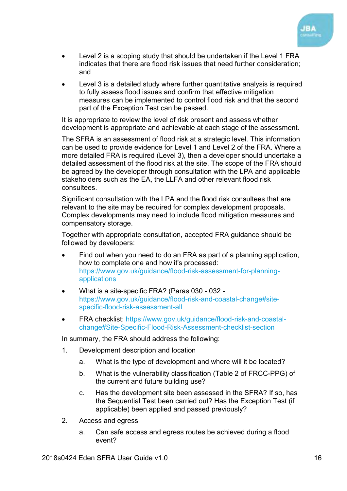

- Level 2 is a scoping study that should be undertaken if the Level 1 FRA indicates that there are flood risk issues that need further consideration; and
- Level 3 is a detailed study where further quantitative analysis is required to fully assess flood issues and confirm that effective mitigation measures can be implemented to control flood risk and that the second part of the Exception Test can be passed.

It is appropriate to review the level of risk present and assess whether development is appropriate and achievable at each stage of the assessment.

The SFRA is an assessment of flood risk at a strategic level. This information can be used to provide evidence for Level 1 and Level 2 of the FRA. Where a more detailed FRA is required (Level 3), then a developer should undertake a detailed assessment of the flood risk at the site. The scope of the FRA should be agreed by the developer through consultation with the LPA and applicable stakeholders such as the EA, the LLFA and other relevant flood risk consultees.

Significant consultation with the LPA and the flood risk consultees that are relevant to the site may be required for complex development proposals. Complex developments may need to include flood mitigation measures and compensatory storage.

Together with appropriate consultation, accepted FRA guidance should be followed by developers:

- Find out when you need to do an FRA as part of a planning application, how to complete one and how it's processed: [https://www.gov.uk/guidance/flood-risk-assessment-for-planning](https://www.gov.uk/guidance/flood-risk-assessment-for-planning-applications)[applications](https://www.gov.uk/guidance/flood-risk-assessment-for-planning-applications)
- What is a site-specific FRA? (Paras 030 032 [https://www.gov.uk/guidance/flood-risk-and-coastal-change#site](https://www.gov.uk/guidance/flood-risk-and-coastal-change#site-specific-flood-risk-assessment-all)[specific-flood-risk-assessment-all](https://www.gov.uk/guidance/flood-risk-and-coastal-change#site-specific-flood-risk-assessment-all)
- FRA checklist: [https://www.gov.uk/guidance/flood-risk-and-coastal](https://www.gov.uk/guidance/flood-risk-and-coastal-change#Site-Specific-Flood-Risk-Assessment-checklist-section)[change#Site-Specific-Flood-Risk-Assessment-checklist-section](https://www.gov.uk/guidance/flood-risk-and-coastal-change#Site-Specific-Flood-Risk-Assessment-checklist-section)

In summary, the FRA should address the following:

- 1. Development description and location
	- a. What is the type of development and where will it be located?
	- b. What is the vulnerability classification (Table 2 of FRCC-PPG) of the current and future building use?
	- c. Has the development site been assessed in the SFRA? If so, has the Sequential Test been carried out? Has the Exception Test (if applicable) been applied and passed previously?
- 2. Access and egress
	- a. Can safe access and egress routes be achieved during a flood event?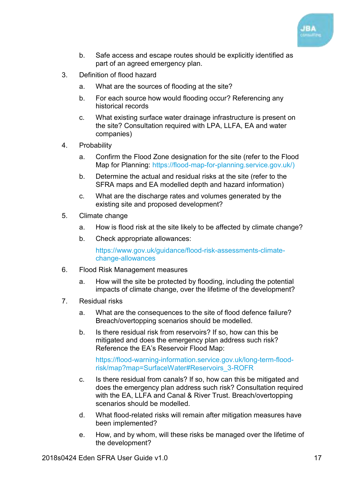

- b. Safe access and escape routes should be explicitly identified as part of an agreed emergency plan.
- 3. Definition of flood hazard
	- a. What are the sources of flooding at the site?
	- b. For each source how would flooding occur? Referencing any historical records
	- c. What existing surface water drainage infrastructure is present on the site? Consultation required with LPA, LLFA, EA and water companies)
- 4. Probability
	- a. Confirm the Flood Zone designation for the site (refer to the Flood Map for Planning: [https://flood-map-for-planning.service.gov.uk/\)](https://flood-map-for-planning.service.gov.uk/)
	- b. Determine the actual and residual risks at the site (refer to the SFRA maps and EA modelled depth and hazard information)
	- c. What are the discharge rates and volumes generated by the existing site and proposed development?
- 5. Climate change
	- a. How is flood risk at the site likely to be affected by climate change?
	- b. Check appropriate allowances:

[https://www.gov.uk/guidance/flood-risk-assessments-climate](https://www.gov.uk/guidance/flood-risk-assessments-climate-change-allowances)[change-allowances](https://www.gov.uk/guidance/flood-risk-assessments-climate-change-allowances)

- 6. Flood Risk Management measures
	- a. How will the site be protected by flooding, including the potential impacts of climate change, over the lifetime of the development?
- 7. Residual risks
	- a. What are the consequences to the site of flood defence failure? Breach/overtopping scenarios should be modelled.
	- b. Is there residual risk from reservoirs? If so, how can this be mitigated and does the emergency plan address such risk? Reference the EA's Reservoir Flood Map:

[https://flood-warning-information.service.gov.uk/long-term-flood](https://flood-warning-information.service.gov.uk/long-term-flood-risk/map?map=SurfaceWater#Reservoirs_3-ROFR)[risk/map?map=SurfaceWater#Reservoirs\\_3-ROFR](https://flood-warning-information.service.gov.uk/long-term-flood-risk/map?map=SurfaceWater#Reservoirs_3-ROFR)

- c. Is there residual from canals? If so, how can this be mitigated and does the emergency plan address such risk? Consultation required with the EA, LLFA and Canal & River Trust. Breach/overtopping scenarios should be modelled.
- d. What flood-related risks will remain after mitigation measures have been implemented?
- e. How, and by whom, will these risks be managed over the lifetime of the development?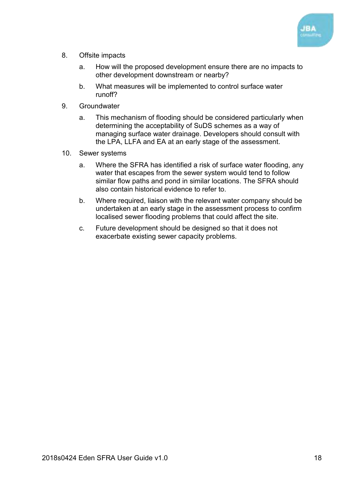

- 8. Offsite impacts
	- a. How will the proposed development ensure there are no impacts to other development downstream or nearby?
	- b. What measures will be implemented to control surface water runoff?
- 9. Groundwater
	- a. This mechanism of flooding should be considered particularly when determining the acceptability of SuDS schemes as a way of managing surface water drainage. Developers should consult with the LPA, LLFA and EA at an early stage of the assessment.
- 10. Sewer systems
	- a. Where the SFRA has identified a risk of surface water flooding, any water that escapes from the sewer system would tend to follow similar flow paths and pond in similar locations. The SFRA should also contain historical evidence to refer to.
	- b. Where required, liaison with the relevant water company should be undertaken at an early stage in the assessment process to confirm localised sewer flooding problems that could affect the site.
	- c. Future development should be designed so that it does not exacerbate existing sewer capacity problems.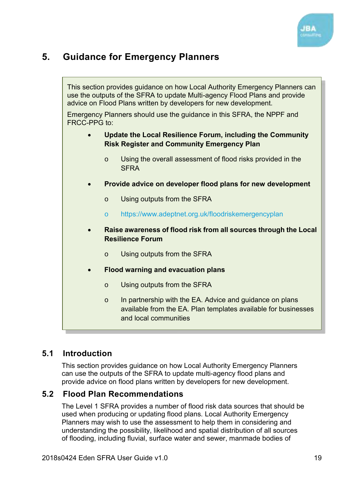

## <span id="page-21-0"></span>**5. Guidance for Emergency Planners**

This section provides guidance on how Local Authority Emergency Planners can use the outputs of the SFRA to update Multi-agency Flood Plans and provide advice on Flood Plans written by developers for new development. Emergency Planners should use the guidance in this SFRA, the NPPF and FRCC-PPG to: **Update the Local Resilience Forum, including the Community Risk Register and Community Emergency Plan**  o Using the overall assessment of flood risks provided in the **SFRA Provide advice on developer flood plans for new development**  o Using outputs from the SFRA o <https://www.adeptnet.org.uk/floodriskemergencyplan> **Raise awareness of flood risk from all sources through the Local Resilience Forum**  o Using outputs from the SFRA **Flood warning and evacuation plans**  o Using outputs from the SFRA o In partnership with the EA. Advice and guidance on plans available from the EA. Plan templates available for businesses

#### <span id="page-21-1"></span>**5.1 Introduction**

This section provides guidance on how Local Authority Emergency Planners can use the outputs of the SFRA to update multi-agency flood plans and provide advice on flood plans written by developers for new development.

and local communities

#### <span id="page-21-2"></span>**5.2 Flood Plan Recommendations**

The Level 1 SFRA provides a number of flood risk data sources that should be used when producing or updating flood plans. Local Authority Emergency Planners may wish to use the assessment to help them in considering and understanding the possibility, likelihood and spatial distribution of all sources of flooding, including fluvial, surface water and sewer, manmade bodies of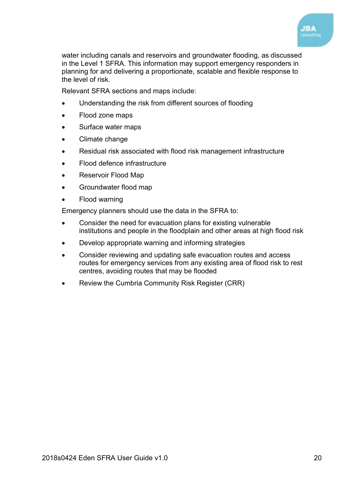

water including canals and reservoirs and groundwater flooding, as discussed in the Level 1 SFRA. This information may support emergency responders in planning for and delivering a proportionate, scalable and flexible response to the level of risk.

Relevant SFRA sections and maps include:

- Understanding the risk from different sources of flooding
- Flood zone maps
- Surface water maps
- Climate change
- Residual risk associated with flood risk management infrastructure
- Flood defence infrastructure
- Reservoir Flood Map
- Groundwater flood map
- Flood warning

Emergency planners should use the data in the SFRA to:

- Consider the need for evacuation plans for existing vulnerable institutions and people in the floodplain and other areas at high flood risk
- Develop appropriate warning and informing strategies
- Consider reviewing and updating safe evacuation routes and access routes for emergency services from any existing area of flood risk to rest centres, avoiding routes that may be flooded
- Review the Cumbria Community Risk Register (CRR)